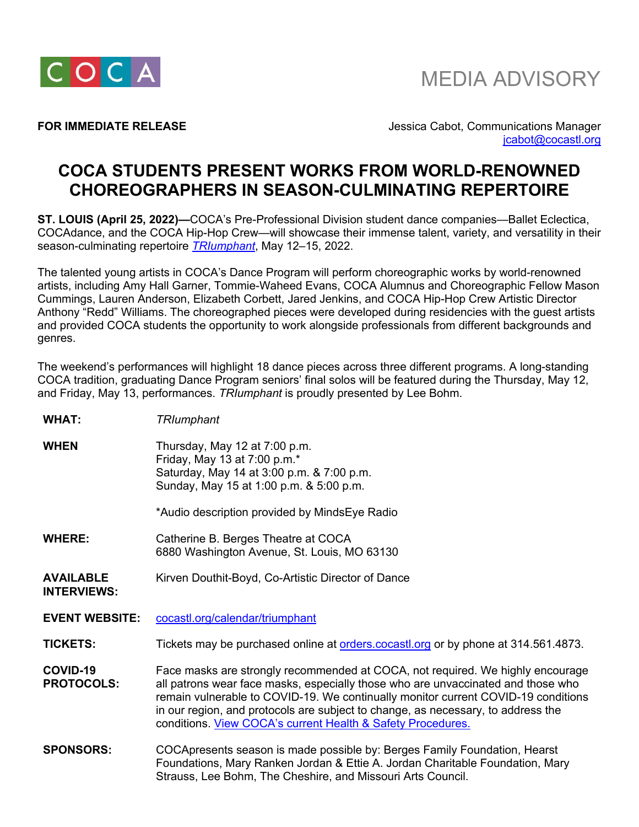

**FOR IMMEDIATE RELEASE** *ACCEPTION CONTRACTER SELENCE CONTRACTE ASSESS Jessica Cabot, Communications Manager* jcabot@cocastl.org

## **COCA STUDENTS PRESENT WORKS FROM WORLD-RENOWNED CHOREOGRAPHERS IN SEASON-CULMINATING REPERTOIRE**

**ST. LOUIS (April 25, 2022)—**COCA's Pre-Professional Division student dance companies—Ballet Eclectica, COCAdance, and the COCA Hip-Hop Crew—will showcase their immense talent, variety, and versatility in their season-culminating repertoire *TRIumphant*, May 12–15, 2022.

The talented young artists in COCA's Dance Program will perform choreographic works by world-renowned artists, including Amy Hall Garner, Tommie-Waheed Evans, COCA Alumnus and Choreographic Fellow Mason Cummings, Lauren Anderson, Elizabeth Corbett, Jared Jenkins, and COCA Hip-Hop Crew Artistic Director Anthony "Redd" Williams. The choreographed pieces were developed during residencies with the guest artists and provided COCA students the opportunity to work alongside professionals from different backgrounds and genres.

The weekend's performances will highlight 18 dance pieces across three different programs. A long-standing COCA tradition, graduating Dance Program seniors' final solos will be featured during the Thursday, May 12, and Friday, May 13, performances. *TRIumphant* is proudly presented by Lee Bohm.

| <b>WHAT:</b>                           | <b>TRIumphant</b>                                                                                                                                                                                                                                                                                                                                                                                          |
|----------------------------------------|------------------------------------------------------------------------------------------------------------------------------------------------------------------------------------------------------------------------------------------------------------------------------------------------------------------------------------------------------------------------------------------------------------|
| <b>WHEN</b>                            | Thursday, May 12 at 7:00 p.m.<br>Friday, May 13 at 7:00 p.m.*<br>Saturday, May 14 at 3:00 p.m. & 7:00 p.m.<br>Sunday, May 15 at 1:00 p.m. & 5:00 p.m.                                                                                                                                                                                                                                                      |
|                                        | *Audio description provided by MindsEye Radio                                                                                                                                                                                                                                                                                                                                                              |
| <b>WHERE:</b>                          | Catherine B. Berges Theatre at COCA<br>6880 Washington Avenue, St. Louis, MO 63130                                                                                                                                                                                                                                                                                                                         |
| <b>AVAILABLE</b><br><b>INTERVIEWS:</b> | Kirven Douthit-Boyd, Co-Artistic Director of Dance                                                                                                                                                                                                                                                                                                                                                         |
| <b>EVENT WEBSITE:</b>                  | cocastl.org/calendar/triumphant                                                                                                                                                                                                                                                                                                                                                                            |
| <b>TICKETS:</b>                        | Tickets may be purchased online at orders cocastlorg or by phone at 314.561.4873.                                                                                                                                                                                                                                                                                                                          |
| COVID-19<br><b>PROTOCOLS:</b>          | Face masks are strongly recommended at COCA, not required. We highly encourage<br>all patrons wear face masks, especially those who are unvaccinated and those who<br>remain vulnerable to COVID-19. We continually monitor current COVID-19 conditions<br>in our region, and protocols are subject to change, as necessary, to address the<br>conditions. View COCA's current Health & Safety Procedures. |
| <b>SPONSORS:</b>                       | COCApresents season is made possible by: Berges Family Foundation, Hearst<br>Foundations, Mary Ranken Jordan & Ettie A. Jordan Charitable Foundation, Mary<br>Strauss, Lee Bohm, The Cheshire, and Missouri Arts Council.                                                                                                                                                                                  |